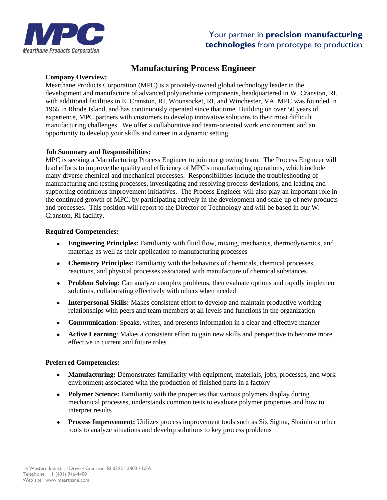

## Your partner in **precision manufacturing technologies** from prototype to production

# **Manufacturing Process Engineer**

#### **Company Overview:**

Mearthane Products Corporation (MPC) is a privately-owned global technology leader in the development and manufacture of advanced polyurethane components, headquartered in W. Cranston, RI, with additional facilities in E. Cranston, RI, Woonsocket, RI, and Winchester, VA. MPC was founded in 1965 in Rhode Island, and has continuously operated since that time. Building on over 50 years of experience, MPC partners with customers to develop innovative solutions to their most difficult manufacturing challenges. We offer a collaborative and team-oriented work environment and an opportunity to develop your skills and career in a dynamic setting.

#### **Job Summary and Responsibilities:**

MPC is seeking a Manufacturing Process Engineer to join our growing team. The Process Engineer will lead efforts to improve the quality and efficiency of MPC's manufacturing operations, which include many diverse chemical and mechanical processes. Responsibilities include the troubleshooting of manufacturing and testing processes, investigating and resolving process deviations, and leading and supporting continuous improvement initiatives. The Process Engineer will also play an important role in the continued growth of MPC, by participating actively in the development and scale-up of new products and processes. This position will report to the Director of Technology and will be based in our W. Cranston, RI facility.

#### **Required Competencies:**

- **Engineering Principles:** Familiarity with fluid flow, mixing, mechanics, thermodynamics, and materials as well as their application to manufacturing processes
- **Chemistry Principles:** Familiarity with the behaviors of chemicals, chemical processes, reactions, and physical processes associated with manufacture of chemical substances
- **Problem Solving:** Can analyze complex problems, then evaluate options and rapidly implement solutions, collaborating effectively with others when needed
- **Interpersonal Skills:** Makes consistent effort to develop and maintain productive working relationships with peers and team members at all levels and functions in the organization
- **Communication**: Speaks, writes, and presents information in a clear and effective manner
- **Active Learning**: Makes a consistent effort to gain new skills and perspective to become more effective in current and future roles

#### **Preferred Competencies:**

- **Manufacturing:** Demonstrates familiarity with equipment, materials, jobs, processes, and work environment associated with the production of finished parts in a factory
- **Polymer Science:** Familiarity with the properties that various polymers display during mechanical processes, understands common tests to evaluate polymer properties and how to interpret results
- **Process Improvement:** Utilizes process improvement tools such as Six Sigma, Shainin or other tools to analyze situations and develop solutions to key process problems